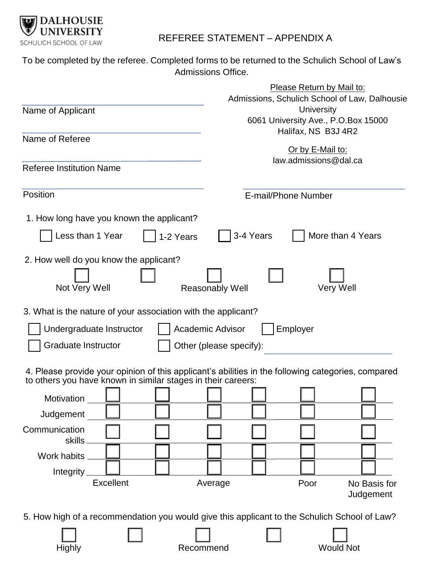

## REFEREE STATEMENT – APPENDIX A

To be completed by the referee. Completed forms to be returned to the Schulich School of Law's Admissions Office.

|                                                                                                                                                                    | Please Return by Mail to:<br>Admissions, Schulich School of Law, Dalhousie |
|--------------------------------------------------------------------------------------------------------------------------------------------------------------------|----------------------------------------------------------------------------|
| Name of Applicant                                                                                                                                                  | University<br>6061 University Ave., P.O.Box 15000<br>Halifax, NS B3J 4R2   |
| Name of Referee                                                                                                                                                    |                                                                            |
|                                                                                                                                                                    | Or by E-Mail to:<br>law.admissions@dal.ca                                  |
| <b>Referee Institution Name</b>                                                                                                                                    |                                                                            |
| Position                                                                                                                                                           | E-mail/Phone Number                                                        |
| 1. How long have you known the applicant?                                                                                                                          |                                                                            |
| Less than 1 Year<br>1-2 Years                                                                                                                                      | 3-4 Years<br>More than 4 Years                                             |
| 2. How well do you know the applicant?                                                                                                                             |                                                                            |
|                                                                                                                                                                    |                                                                            |
| Not Very Well                                                                                                                                                      | Very Well<br>Reasonably Well                                               |
| 3. What is the nature of your association with the applicant?                                                                                                      |                                                                            |
| Academic Advisor<br>Employer<br>Undergraduate Instructor                                                                                                           |                                                                            |
| Graduate Instructor<br>Other (please specify):                                                                                                                     |                                                                            |
| 4. Please provide your opinion of this applicant's abilities in the following categories, compared<br>to others you have known in similar stages in their careers: |                                                                            |
| Motivation                                                                                                                                                         |                                                                            |
| Judgement                                                                                                                                                          |                                                                            |
| Communication                                                                                                                                                      |                                                                            |
| skills                                                                                                                                                             |                                                                            |
| Work habits                                                                                                                                                        |                                                                            |
| Integrity<br>Excellent                                                                                                                                             | Average<br>Poor<br>No Basis for                                            |
|                                                                                                                                                                    | Judgement                                                                  |
| 5. How high of a recommendation you would give this applicant to the Schulich School of Law?                                                                       |                                                                            |
| Highly<br>Recommend                                                                                                                                                | <b>Would Not</b>                                                           |